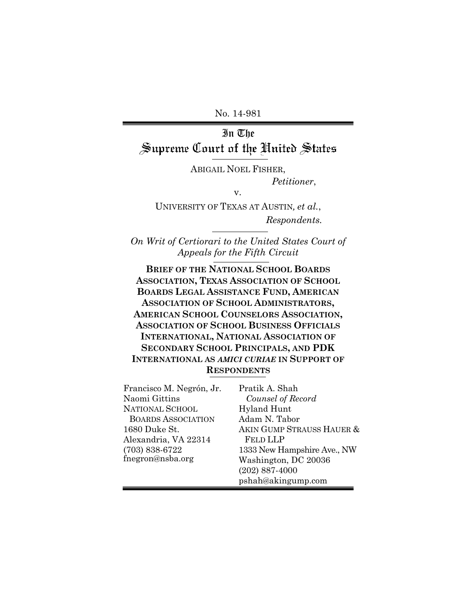No. 14-981

# In The Supreme Court of the United States

ABIGAIL NOEL FISHER, *Petitioner*,

v.

UNIVERSITY OF TEXAS AT AUSTIN*, et al.*, *Respondents.*

*On Writ of Certiorari to the United States Court of Appeals for the Fifth Circuit*

**BRIEF OF THE NATIONAL SCHOOL BOARDS ASSOCIATION, TEXAS ASSOCIATION OF SCHOOL BOARDS LEGAL ASSISTANCE FUND, AMERICAN ASSOCIATION OF SCHOOL ADMINISTRATORS, AMERICAN SCHOOL COUNSELORS ASSOCIATION, ASSOCIATION OF SCHOOL BUSINESS OFFICIALS INTERNATIONAL, NATIONAL ASSOCIATION OF SECONDARY SCHOOL PRINCIPALS, AND PDK INTERNATIONAL AS** *AMICI CURIAE* **IN SUPPORT OF RESPONDENTS**

| Francisco M. Negrón, Jr.  | Pratik A. Shah              |
|---------------------------|-----------------------------|
| Naomi Gittins             | Counsel of Record           |
| <b>NATIONAL SCHOOL</b>    | <b>Hyland Hunt</b>          |
| <b>BOARDS ASSOCIATION</b> | Adam N. Tabor               |
| 1680 Duke St.             | AKIN GUMP STRAUSS HAUER &   |
| Alexandria, VA 22314      | <b>FELD LLP</b>             |
| $(703) 838 - 6722$        | 1333 New Hampshire Ave., NW |
| fnegron@nsba.org          | Washington, DC 20036        |
|                           | $(202)$ 887-4000            |
|                           | pshah@akingump.com          |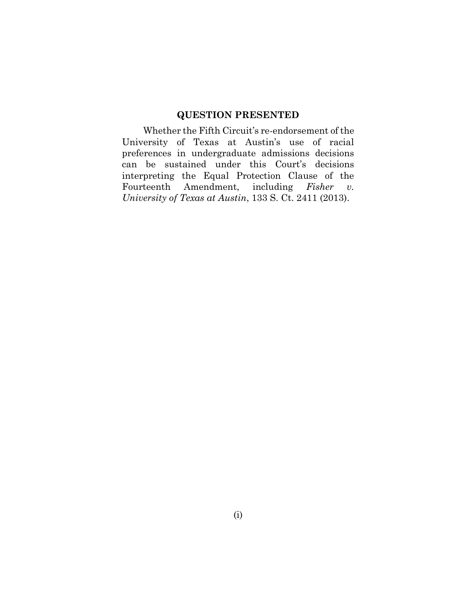#### **QUESTION PRESENTED**

<span id="page-1-0"></span>Whether the Fifth Circuit's re-endorsement of the University of Texas at Austin's use of racial preferences in undergraduate admissions decisions can be sustained under this Court's decisions interpreting the Equal Protection Clause of the Fourteenth Amendment, including *Fisher v. University of Texas at Austin*, 133 S. Ct. 2411 (2013).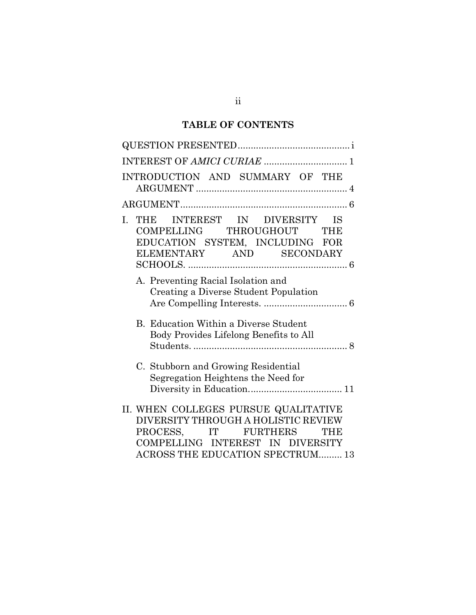## **TABLE OF CONTENTS**

| INTRODUCTION AND SUMMARY OF THE                                                                                                                                                    |
|------------------------------------------------------------------------------------------------------------------------------------------------------------------------------------|
|                                                                                                                                                                                    |
| INTEREST IN DIVERSITY IS<br>L.<br>THE<br>COMPELLING THROUGHOUT<br><b>THE</b><br>EDUCATION SYSTEM, INCLUDING FOR<br>ELEMENTARY AND SECONDARY                                        |
| A. Preventing Racial Isolation and<br>Creating a Diverse Student Population                                                                                                        |
| B. Education Within a Diverse Student<br>Body Provides Lifelong Benefits to All                                                                                                    |
| C. Stubborn and Growing Residential<br>Segregation Heightens the Need for                                                                                                          |
| II. WHEN COLLEGES PURSUE QUALITATIVE<br>DIVERSITY THROUGH A HOLISTIC REVIEW<br>PROCESS, IT FURTHERS<br>THE<br>COMPELLING INTEREST IN DIVERSITY<br>ACROSS THE EDUCATION SPECTRUM 13 |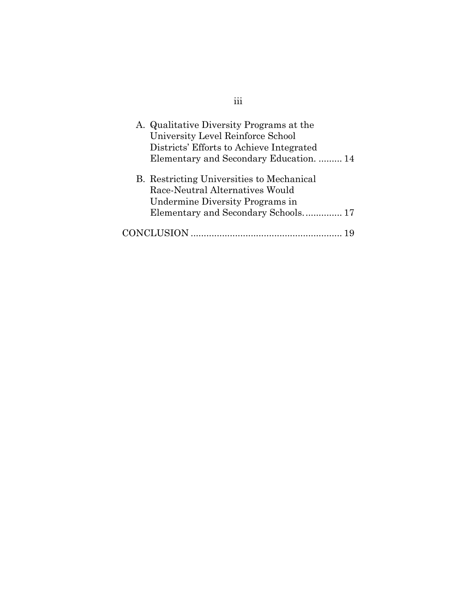| A. Qualitative Diversity Programs at the<br>University Level Reinforce School<br>Districts' Efforts to Achieve Integrated<br>Elementary and Secondary Education.  14 |  |
|----------------------------------------------------------------------------------------------------------------------------------------------------------------------|--|
| B. Restricting Universities to Mechanical<br>Race-Neutral Alternatives Would<br>Undermine Diversity Programs in                                                      |  |
| Elementary and Secondary Schools 17                                                                                                                                  |  |
|                                                                                                                                                                      |  |

iii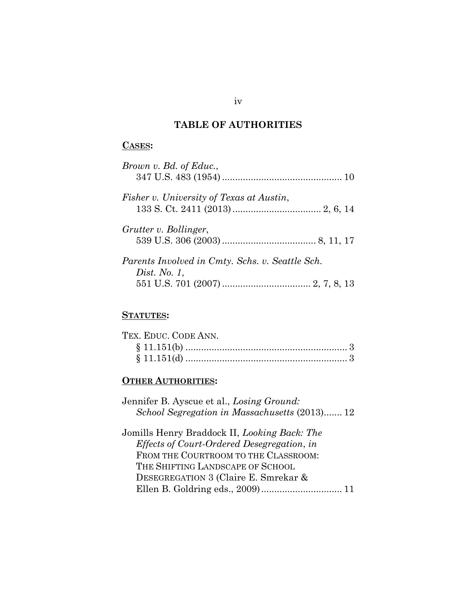## **TABLE OF AUTHORITIES**

### **CASES:**

| Brown v. Bd. of Educ.,                          |  |
|-------------------------------------------------|--|
| Fisher v. University of Texas at Austin,        |  |
| Grutter v. Bollinger,                           |  |
| Parents Involved in Cmty. Schs. v. Seattle Sch. |  |
| Dist. No. $1$ ,                                 |  |

### **STATUTES:**

| TEX. EDUC. CODE ANN. |  |
|----------------------|--|
|                      |  |
|                      |  |

### **OTHER AUTHORITIES:**

| Jennifer B. Ayscue et al., Losing Ground:         |
|---------------------------------------------------|
| School Segregation in Massachusetts (2013) 12     |
| Jomills Henry Braddock II, Looking Back: The      |
| <i>Effects of Court-Ordered Desegregation, in</i> |
| FROM THE COURTROOM TO THE CLASSROOM:              |
| THE SHIFTING LANDSCAPE OF SCHOOL                  |
| DESEGREGATION 3 (Claire E. Smrekar &              |
|                                                   |

iv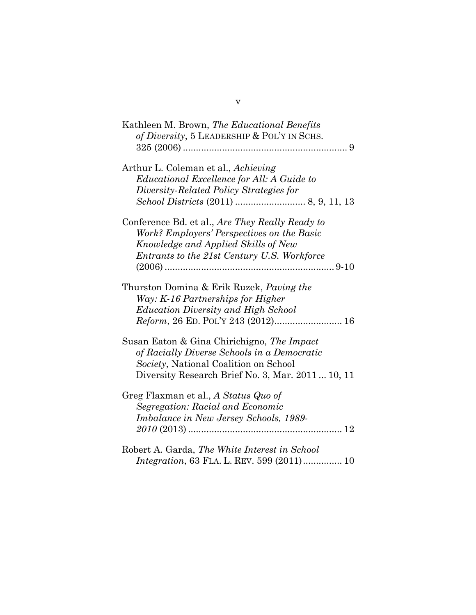v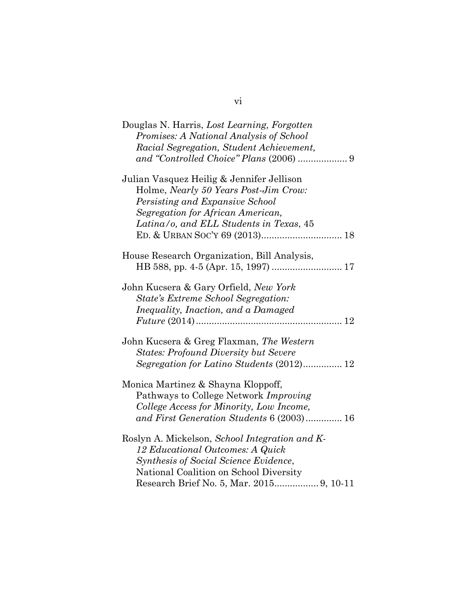| Douglas N. Harris, Lost Learning, Forgotten<br>Promises: A National Analysis of School<br>Racial Segregation, Student Achievement,                                                                    |
|-------------------------------------------------------------------------------------------------------------------------------------------------------------------------------------------------------|
| Julian Vasquez Heilig & Jennifer Jellison<br>Holme, Nearly 50 Years Post-Jim Crow:<br>Persisting and Expansive School<br>Segregation for African American,<br>Latina/o, and ELL Students in Texas, 45 |
| House Research Organization, Bill Analysis,                                                                                                                                                           |
| John Kucsera & Gary Orfield, New York<br>State's Extreme School Segregation:<br>Inequality, Inaction, and a Damaged                                                                                   |
| John Kucsera & Greg Flaxman, The Western<br><b>States: Profound Diversity but Severe</b><br>Segregation for Latino Students (2012) 12                                                                 |
| Monica Martinez & Shayna Kloppoff,<br>Pathways to College Network Improving<br>College Access for Minority, Low Income,<br>and First Generation Students 6 (2003) 16                                  |
| Roslyn A. Mickelson, School Integration and K-<br>12 Educational Outcomes: A Quick<br>Synthesis of Social Science Evidence,<br>National Coalition on School Diversity                                 |

vi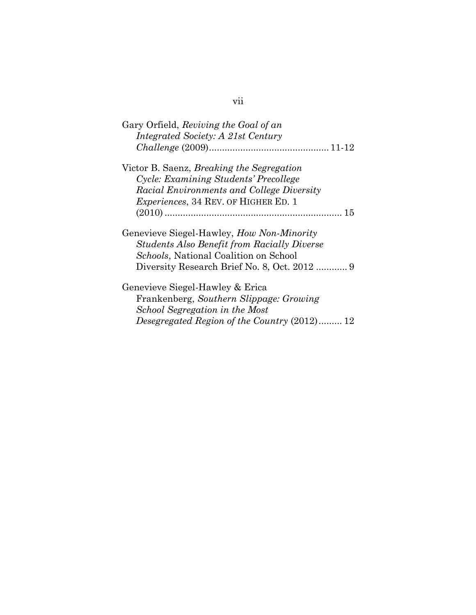| Gary Orfield, Reviving the Goal of an                                                                                                           |
|-------------------------------------------------------------------------------------------------------------------------------------------------|
| Integrated Society: A 21st Century                                                                                                              |
|                                                                                                                                                 |
| Victor B. Saenz, <i>Breaking the Segregation</i>                                                                                                |
| Cycle: Examining Students' Precollege                                                                                                           |
| Racial Environments and College Diversity                                                                                                       |
| <i>Experiences</i> , 34 REV. OF HIGHER ED. 1                                                                                                    |
|                                                                                                                                                 |
| Genevieve Siegel-Hawley, <i>How Non-Minority</i><br><b>Students Also Benefit from Racially Diverse</b><br>Schools, National Coalition on School |
|                                                                                                                                                 |
| Genevieve Siegel-Hawley & Erica<br>Frankenberg, Southern Slippage: Growing                                                                      |
| School Segregation in the Most                                                                                                                  |
| Desegregated Region of the Country (2012) 12                                                                                                    |

# vii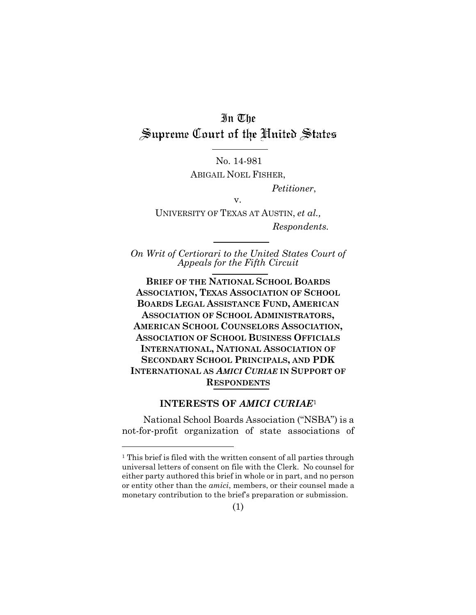# In The Supreme Court of the United States

No. 14-981 ABIGAIL NOEL FISHER,

*Petitioner*,

v.

UNIVERSITY OF TEXAS AT AUSTIN, *et al., Respondents.*

*On Writ of Certiorari to the United States Court of Appeals for the Fifth Circuit*

**BRIEF OF THE NATIONAL SCHOOL BOARDS ASSOCIATION, TEXAS ASSOCIATION OF SCHOOL BOARDS LEGAL ASSISTANCE FUND, AMERICAN ASSOCIATION OF SCHOOL ADMINISTRATORS, AMERICAN SCHOOL COUNSELORS ASSOCIATION, ASSOCIATION OF SCHOOL BUSINESS OFFICIALS INTERNATIONAL, NATIONAL ASSOCIATION OF SECONDARY SCHOOL PRINCIPALS, AND PDK INTERNATIONAL AS** *AMICI CURIAE* **IN SUPPORT OF RESPONDENTS**

#### **INTERESTS OF** *AMICI CURIAE*<sup>1</sup>

<span id="page-8-0"></span>National School Boards Association ("NSBA") is a not-for-profit organization of state associations of

<sup>&</sup>lt;sup>1</sup> This brief is filed with the written consent of all parties through universal letters of consent on file with the Clerk. No counsel for either party authored this brief in whole or in part, and no person or entity other than the *amici*, members, or their counsel made a monetary contribution to the brief's preparation or submission.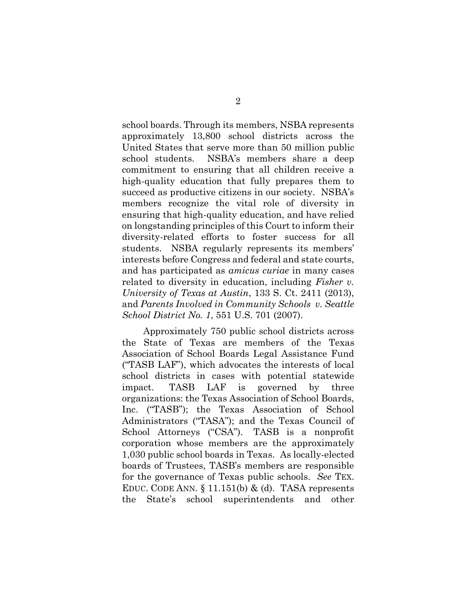school boards. Through its members, NSBA represents approximately 13,800 school districts across the United States that serve more than 50 million public school students. NSBA's members share a deep commitment to ensuring that all children receive a high-quality education that fully prepares them to succeed as productive citizens in our society. NSBA's members recognize the vital role of diversity in ensuring that high-quality education, and have relied on longstanding principles of this Court to inform their diversity-related efforts to foster success for all students. NSBA regularly represents its members' interests before Congress and federal and state courts, and has participated as *amicus curiae* in many cases related to diversity in education, including *Fisher v. University of Texas at Austin*, 133 S. Ct. 2411 (2013), and *Parents Involved in Community Schools v. Seattle School District No. 1*, 551 U.S. 701 (2007).

Approximately 750 public school districts across the State of Texas are members of the Texas Association of School Boards Legal Assistance Fund ("TASB LAF"), which advocates the interests of local school districts in cases with potential statewide impact. TASB LAF is governed by three organizations: the Texas Association of School Boards, Inc. ("TASB"); the Texas Association of School Administrators ("TASA"); and the Texas Council of School Attorneys ("CSA"). TASB is a nonprofit corporation whose members are the approximately 1,030 public school boards in Texas. As locally-elected boards of Trustees, TASB's members are responsible for the governance of Texas public schools. *See* TEX. EDUC. CODE ANN.  $\S$  11.151(b) & (d). TASA represents the State's school superintendents and other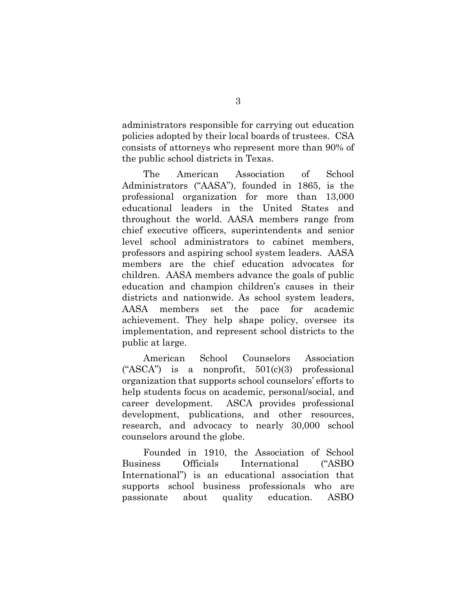administrators responsible for carrying out education policies adopted by their local boards of trustees. CSA consists of attorneys who represent more than 90% of the public school districts in Texas.

The American Association of School Administrators ("AASA"), founded in 1865, is the professional organization for more than 13,000 educational leaders in the United States and throughout the world. AASA members range from chief executive officers, superintendents and senior level school administrators to cabinet members, professors and aspiring school system leaders. AASA members are the chief education advocates for children. AASA members advance the goals of public education and champion children's causes in their districts and nationwide. As school system leaders, AASA members set the pace for academic achievement. They help shape policy, oversee its implementation, and represent school districts to the public at large.

American School Counselors Association ("ASCA") is a nonprofit,  $501(c)(3)$  professional organization that supports school counselors' efforts to help students focus on academic, personal/social, and career development. ASCA provides professional development, publications, and other resources, research, and advocacy to nearly 30,000 school counselors around the globe.

Founded in 1910, the Association of School Business Officials International ("ASBO International") is an educational association that supports school business professionals who are passionate about quality education. ASBO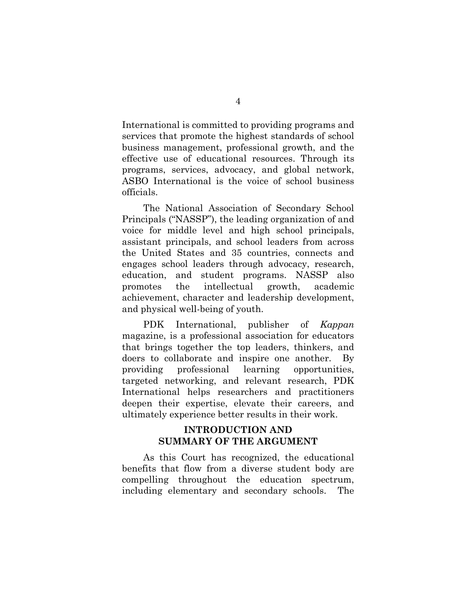International is committed to providing programs and services that promote the highest standards of school business management, professional growth, and the effective use of educational resources. Through its programs, services, advocacy, and global network, ASBO International is the voice of school business officials.

The National Association of Secondary School Principals ("NASSP"), the leading organization of and voice for middle level and high school principals, assistant principals, and school leaders from across the United States and 35 countries, connects and engages school leaders through advocacy, research, education, and student programs. NASSP also promotes the intellectual growth, academic achievement, character and leadership development, and physical well-being of youth.

PDK International, publisher of *Kappan* magazine, is a professional association for educators that brings together the top leaders, thinkers, and doers to collaborate and inspire one another. By providing professional learning opportunities, targeted networking, and relevant research, PDK International helps researchers and practitioners deepen their expertise, elevate their careers, and ultimately experience better results in their work.

#### **INTRODUCTION AND SUMMARY OF THE ARGUMENT**

<span id="page-11-0"></span>As this Court has recognized, the educational benefits that flow from a diverse student body are compelling throughout the education spectrum, including elementary and secondary schools. The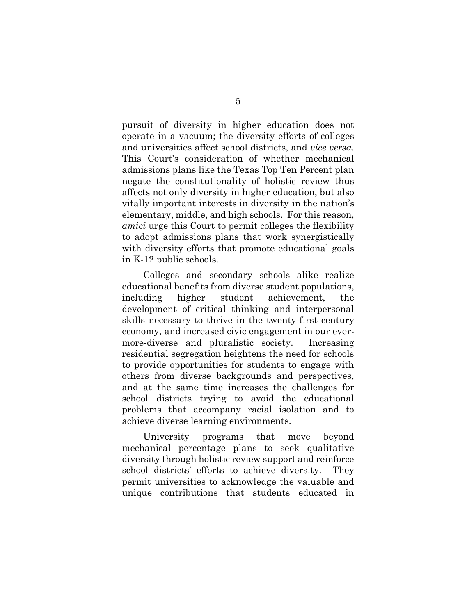pursuit of diversity in higher education does not operate in a vacuum; the diversity efforts of colleges and universities affect school districts, and *vice versa*. This Court's consideration of whether mechanical admissions plans like the Texas Top Ten Percent plan negate the constitutionality of holistic review thus affects not only diversity in higher education, but also vitally important interests in diversity in the nation's elementary, middle, and high schools. For this reason, *amici* urge this Court to permit colleges the flexibility to adopt admissions plans that work synergistically with diversity efforts that promote educational goals in K-12 public schools.

Colleges and secondary schools alike realize educational benefits from diverse student populations, including higher student achievement, the development of critical thinking and interpersonal skills necessary to thrive in the twenty-first century economy, and increased civic engagement in our evermore-diverse and pluralistic society. Increasing residential segregation heightens the need for schools to provide opportunities for students to engage with others from diverse backgrounds and perspectives, and at the same time increases the challenges for school districts trying to avoid the educational problems that accompany racial isolation and to achieve diverse learning environments.

University programs that move beyond mechanical percentage plans to seek qualitative diversity through holistic review support and reinforce school districts' efforts to achieve diversity. They permit universities to acknowledge the valuable and unique contributions that students educated in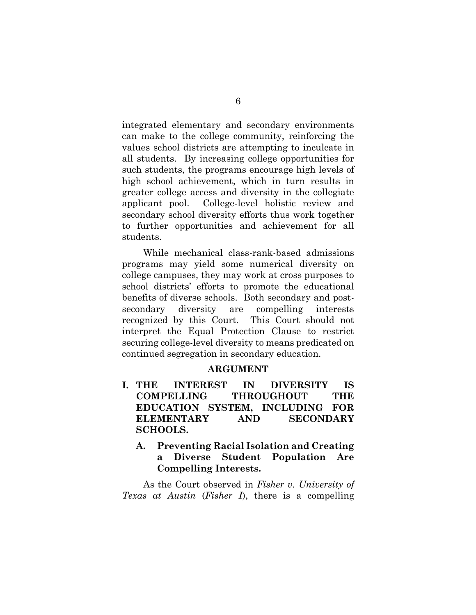integrated elementary and secondary environments can make to the college community, reinforcing the values school districts are attempting to inculcate in all students. By increasing college opportunities for such students, the programs encourage high levels of high school achievement, which in turn results in greater college access and diversity in the collegiate applicant pool. College-level holistic review and secondary school diversity efforts thus work together to further opportunities and achievement for all students.

While mechanical class-rank-based admissions programs may yield some numerical diversity on college campuses, they may work at cross purposes to school districts' efforts to promote the educational benefits of diverse schools. Both secondary and postsecondary diversity are compelling interests recognized by this Court. This Court should not interpret the Equal Protection Clause to restrict securing college-level diversity to means predicated on continued segregation in secondary education.

#### **ARGUMENT**

- <span id="page-13-1"></span><span id="page-13-0"></span>**I. THE INTEREST IN DIVERSITY IS COMPELLING THROUGHOUT THE EDUCATION SYSTEM, INCLUDING FOR ELEMENTARY AND SECONDARY SCHOOLS.**
	- **A. Preventing Racial Isolation and Creating a Diverse Student Population Are Compelling Interests.**

<span id="page-13-2"></span>As the Court observed in *Fisher v. University of Texas at Austin* (*Fisher I*), there is a compelling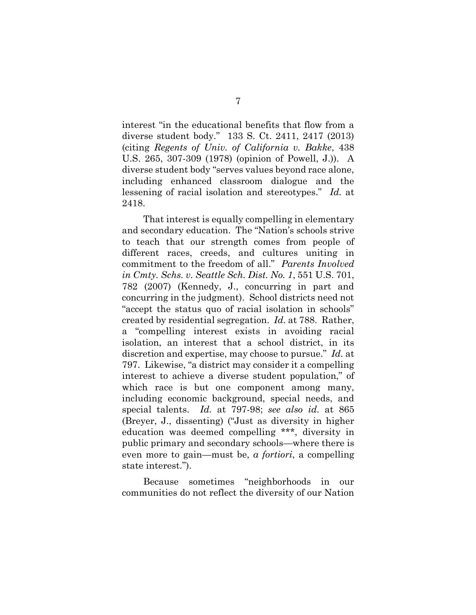interest "in the educational benefits that flow from a diverse student body." 133 S. Ct. 2411, 2417 (2013) (citing *Regents of Univ. of California v. Bakke*, 438 U.S. 265, 307-309 (1978) (opinion of Powell, J.)). A diverse student body "serves values beyond race alone, including enhanced classroom dialogue and the lessening of racial isolation and stereotypes." *Id.* at 2418.

That interest is equally compelling in elementary and secondary education. The "Nation's schools strive to teach that our strength comes from people of different races, creeds, and cultures uniting in commitment to the freedom of all." *Parents Involved in Cmty. Schs. v. Seattle Sch. Dist. No. 1*, 551 U.S. 701, 782 (2007) (Kennedy, J., concurring in part and concurring in the judgment). School districts need not "accept the status quo of racial isolation in schools" created by residential segregation. *Id.* at 788. Rather, a "compelling interest exists in avoiding racial isolation, an interest that a school district, in its discretion and expertise, may choose to pursue." *Id.* at 797. Likewise, "a district may consider it a compelling interest to achieve a diverse student population," of which race is but one component among many, including economic background, special needs, and special talents. *Id.* at 797-98; *see also id.* at 865 (Breyer, J., dissenting) ("Just as diversity in higher education was deemed compelling \*\*\*, diversity in public primary and secondary schools—where there is even more to gain—must be, *a fortiori*, a compelling state interest.").

Because sometimes "neighborhoods in our communities do not reflect the diversity of our Nation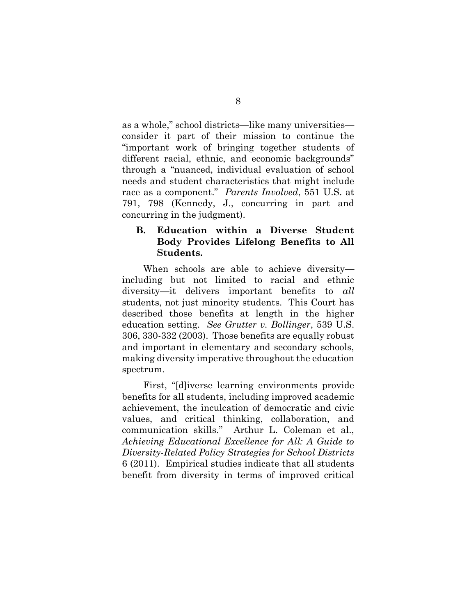as a whole," school districts—like many universities consider it part of their mission to continue the "important work of bringing together students of different racial, ethnic, and economic backgrounds" through a "nuanced, individual evaluation of school needs and student characteristics that might include race as a component." *Parents Involved*, 551 U.S. at 791, 798 (Kennedy, J., concurring in part and concurring in the judgment).

#### <span id="page-15-0"></span>**B. Education within a Diverse Student Body Provides Lifelong Benefits to All Students.**

When schools are able to achieve diversity including but not limited to racial and ethnic diversity—it delivers important benefits to *all* students, not just minority students. This Court has described those benefits at length in the higher education setting. *See Grutter v. Bollinger*, 539 U.S. 306, 330-332 (2003). Those benefits are equally robust and important in elementary and secondary schools, making diversity imperative throughout the education spectrum.

First, "[d]iverse learning environments provide benefits for all students, including improved academic achievement, the inculcation of democratic and civic values, and critical thinking, collaboration, and communication skills." Arthur L. Coleman et al., *Achieving Educational Excellence for All: A Guide to Diversity-Related Policy Strategies for School Districts* 6 (2011). Empirical studies indicate that all students benefit from diversity in terms of improved critical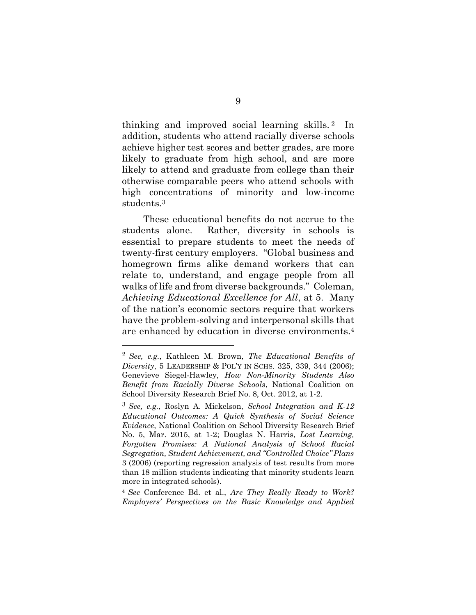thinking and improved social learning skills. <sup>2</sup> In addition, students who attend racially diverse schools achieve higher test scores and better grades, are more likely to graduate from high school, and are more likely to attend and graduate from college than their otherwise comparable peers who attend schools with high concentrations of minority and low-income students.<sup>3</sup>

These educational benefits do not accrue to the students alone. Rather, diversity in schools is essential to prepare students to meet the needs of twenty-first century employers. "Global business and homegrown firms alike demand workers that can relate to, understand, and engage people from all walks of life and from diverse backgrounds." Coleman, *Achieving Educational Excellence for All*, at 5. Many of the nation's economic sectors require that workers have the problem-solving and interpersonal skills that are enhanced by education in diverse environments.<sup>4</sup>

<sup>4</sup> *See* Conference Bd. et al., *Are They Really Ready to Work? Employers' Perspectives on the Basic Knowledge and Applied*

<sup>2</sup> *See, e.g.*, Kathleen M. Brown, *The Educational Benefits of Diversity*, 5 LEADERSHIP & POL'Y IN SCHS. 325, 339, 344 (2006); Genevieve Siegel-Hawley, *How Non-Minority Students Also Benefit from Racially Diverse Schools*, National Coalition on School Diversity Research Brief No. 8, Oct. 2012, at 1-2.

<sup>3</sup> *See, e.g.*, Roslyn A. Mickelson, *School Integration and K-12 Educational Outcomes: A Quick Synthesis of Social Science Evidence*, National Coalition on School Diversity Research Brief No. 5, Mar. 2015, at 1-2; Douglas N. Harris, *Lost Learning, Forgotten Promises: A National Analysis of School Racial Segregation, Student Achievement, and "Controlled Choice" Plans* 3 (2006) (reporting regression analysis of test results from more than 18 million students indicating that minority students learn more in integrated schools).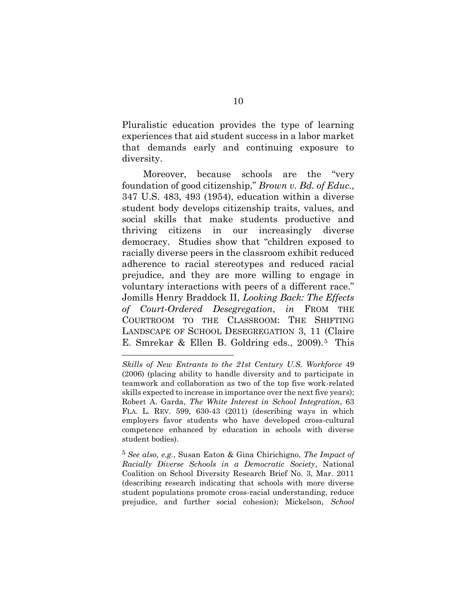Pluralistic education provides the type of learning experiences that aid student success in a labor market that demands early and continuing exposure to diversity.

Moreover, because schools are the "very foundation of good citizenship," *Brown v. Bd. of Educ.*, 347 U.S. 483, 493 (1954), education within a diverse student body develops citizenship traits, values, and social skills that make students productive and thriving citizens in our increasingly diverse democracy. Studies show that "children exposed to racially diverse peers in the classroom exhibit reduced adherence to racial stereotypes and reduced racial prejudice, and they are more willing to engage in voluntary interactions with peers of a different race." Jomills Henry Braddock II, *Looking Back: The Effects of Court-Ordered Desegregation*, *in* FROM THE COURTROOM TO THE CLASSROOM: THE SHIFTING LANDSCAPE OF SCHOOL DESEGREGATION 3, 11 (Claire E. Smrekar & Ellen B. Goldring eds., 2009).<sup>5</sup> This

*Skills of New Entrants to the 21st Century U.S. Workforce* 49 (2006) (placing ability to handle diversity and to participate in teamwork and collaboration as two of the top five work-related skills expected to increase in importance over the next five years); Robert A. Garda, *The White Interest in School Integration*, 63 FLA. L. REV. 599, 630-43 (2011) (describing ways in which employers favor students who have developed cross-cultural competence enhanced by education in schools with diverse student bodies).

<sup>5</sup> *See also, e.g.*, Susan Eaton & Gina Chirichigno, *The Impact of Racially Diverse Schools in a Democratic Society*, National Coalition on School Diversity Research Brief No. 3, Mar. 2011 (describing research indicating that schools with more diverse student populations promote cross-racial understanding, reduce prejudice, and further social cohesion); Mickelson, *School*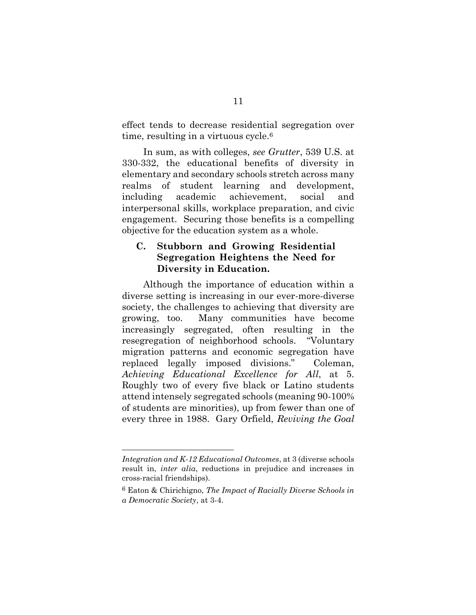effect tends to decrease residential segregation over time, resulting in a virtuous cycle.<sup>6</sup>

In sum, as with colleges, *see Grutter*, 539 U.S. at 330-332, the educational benefits of diversity in elementary and secondary schools stretch across many realms of student learning and development, including academic achievement, social and interpersonal skills, workplace preparation, and civic engagement. Securing those benefits is a compelling objective for the education system as a whole.

#### <span id="page-18-0"></span>**C. Stubborn and Growing Residential Segregation Heightens the Need for Diversity in Education.**

Although the importance of education within a diverse setting is increasing in our ever-more-diverse society, the challenges to achieving that diversity are growing, too. Many communities have become increasingly segregated, often resulting in the resegregation of neighborhood schools. "Voluntary migration patterns and economic segregation have replaced legally imposed divisions." Coleman, *Achieving Educational Excellence for All*, at 5. Roughly two of every five black or Latino students attend intensely segregated schools (meaning 90-100% of students are minorities), up from fewer than one of every three in 1988. Gary Orfield, *Reviving the Goal* 

*Integration and K-12 Educational Outcomes*, at 3 (diverse schools result in, *inter alia*, reductions in prejudice and increases in cross-racial friendships).

<sup>6</sup> Eaton & Chirichigno, *The Impact of Racially Diverse Schools in a Democratic Society*, at 3-4.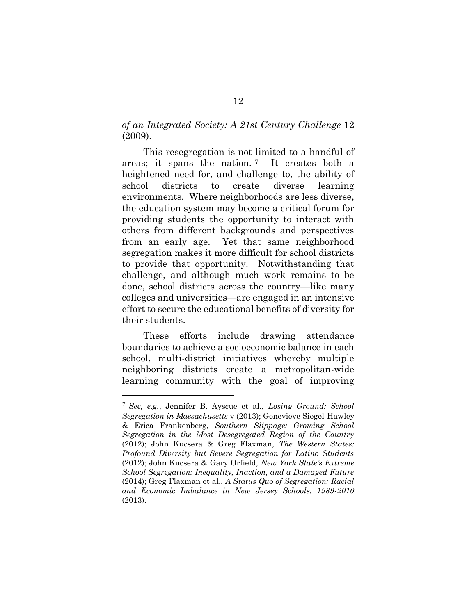*of an Integrated Society: A 21st Century Challenge* 12 (2009).

This resegregation is not limited to a handful of areas; it spans the nation. <sup>7</sup> It creates both a heightened need for, and challenge to, the ability of school districts to create diverse learning environments. Where neighborhoods are less diverse, the education system may become a critical forum for providing students the opportunity to interact with others from different backgrounds and perspectives from an early age. Yet that same neighborhood segregation makes it more difficult for school districts to provide that opportunity. Notwithstanding that challenge, and although much work remains to be done, school districts across the country—like many colleges and universities—are engaged in an intensive effort to secure the educational benefits of diversity for their students.

These efforts include drawing attendance boundaries to achieve a socioeconomic balance in each school, multi-district initiatives whereby multiple neighboring districts create a metropolitan-wide learning community with the goal of improving

<sup>7</sup> *See, e.g.*, Jennifer B. Ayscue et al., *Losing Ground: School Segregation in Massachusetts* v (2013); Genevieve Siegel-Hawley & Erica Frankenberg, *Southern Slippage: Growing School Segregation in the Most Desegregated Region of the Country* (2012); John Kucsera & Greg Flaxman, *The Western States: Profound Diversity but Severe Segregation for Latino Students* (2012); John Kucsera & Gary Orfield, *New York State's Extreme School Segregation: Inequality, Inaction, and a Damaged Future* (2014); Greg Flaxman et al., *A Status Quo of Segregation: Racial and Economic Imbalance in New Jersey Schools, 1989-2010* (2013).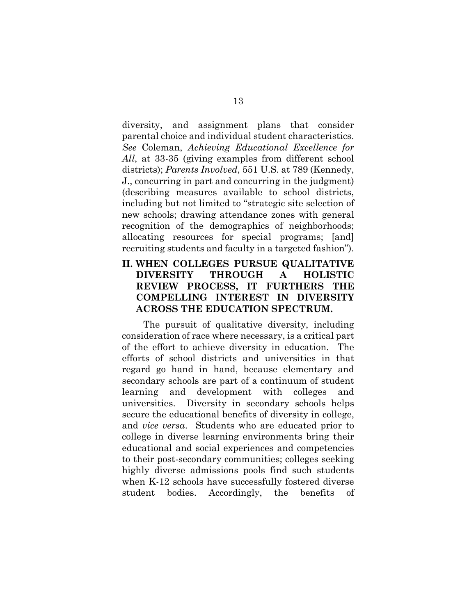diversity, and assignment plans that consider parental choice and individual student characteristics. *See* Coleman, *Achieving Educational Excellence for All*, at 33-35 (giving examples from different school districts); *Parents Involved*, 551 U.S. at 789 (Kennedy, J., concurring in part and concurring in the judgment) (describing measures available to school districts, including but not limited to "strategic site selection of new schools; drawing attendance zones with general recognition of the demographics of neighborhoods; allocating resources for special programs; [and] recruiting students and faculty in a targeted fashion").

#### <span id="page-20-0"></span>**II. WHEN COLLEGES PURSUE QUALITATIVE DIVERSITY THROUGH A HOLISTIC REVIEW PROCESS, IT FURTHERS THE COMPELLING INTEREST IN DIVERSITY ACROSS THE EDUCATION SPECTRUM.**

The pursuit of qualitative diversity, including consideration of race where necessary, is a critical part of the effort to achieve diversity in education. The efforts of school districts and universities in that regard go hand in hand, because elementary and secondary schools are part of a continuum of student learning and development with colleges and universities. Diversity in secondary schools helps secure the educational benefits of diversity in college, and *vice versa*. Students who are educated prior to college in diverse learning environments bring their educational and social experiences and competencies to their post-secondary communities; colleges seeking highly diverse admissions pools find such students when K-12 schools have successfully fostered diverse student bodies. Accordingly, the benefits of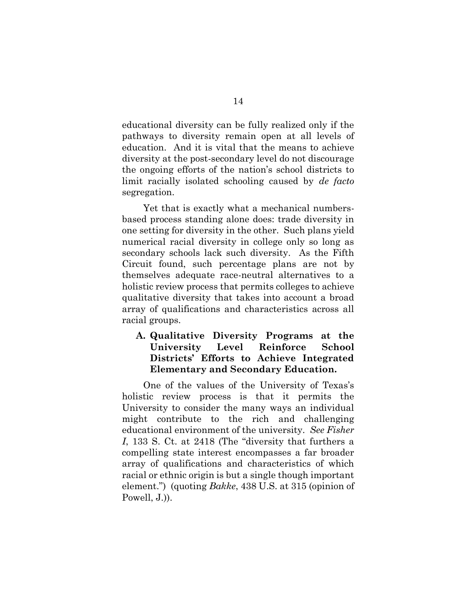educational diversity can be fully realized only if the pathways to diversity remain open at all levels of education. And it is vital that the means to achieve diversity at the post-secondary level do not discourage the ongoing efforts of the nation's school districts to limit racially isolated schooling caused by *de facto* segregation.

Yet that is exactly what a mechanical numbersbased process standing alone does: trade diversity in one setting for diversity in the other. Such plans yield numerical racial diversity in college only so long as secondary schools lack such diversity. As the Fifth Circuit found, such percentage plans are not by themselves adequate race-neutral alternatives to a holistic review process that permits colleges to achieve qualitative diversity that takes into account a broad array of qualifications and characteristics across all racial groups.

#### <span id="page-21-0"></span>**A. Qualitative Diversity Programs at the University Level Reinforce School Districts' Efforts to Achieve Integrated Elementary and Secondary Education.**

One of the values of the University of Texas's holistic review process is that it permits the University to consider the many ways an individual might contribute to the rich and challenging educational environment of the university. *See Fisher I*, 133 S. Ct. at 2418 (The "diversity that furthers a compelling state interest encompasses a far broader array of qualifications and characteristics of which racial or ethnic origin is but a single though important element.") (quoting *Bakke*, 438 U.S. at 315 (opinion of Powell, J.)).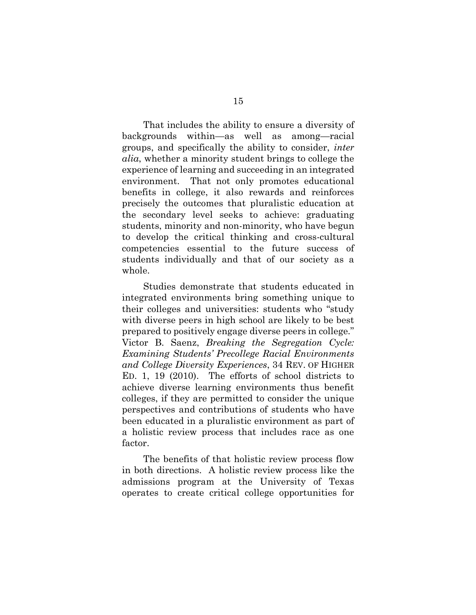That includes the ability to ensure a diversity of backgrounds within—as well as among—racial groups, and specifically the ability to consider, *inter alia*, whether a minority student brings to college the experience of learning and succeeding in an integrated environment. That not only promotes educational benefits in college, it also rewards and reinforces precisely the outcomes that pluralistic education at the secondary level seeks to achieve: graduating students, minority and non-minority, who have begun to develop the critical thinking and cross-cultural competencies essential to the future success of students individually and that of our society as a whole.

Studies demonstrate that students educated in integrated environments bring something unique to their colleges and universities: students who "study with diverse peers in high school are likely to be best prepared to positively engage diverse peers in college." Victor B. Saenz, *Breaking the Segregation Cycle: Examining Students' Precollege Racial Environments and College Diversity Experiences*, 34 REV. OF HIGHER ED. 1, 19 (2010).The efforts of school districts to achieve diverse learning environments thus benefit colleges, if they are permitted to consider the unique perspectives and contributions of students who have been educated in a pluralistic environment as part of a holistic review process that includes race as one factor.

The benefits of that holistic review process flow in both directions. A holistic review process like the admissions program at the University of Texas operates to create critical college opportunities for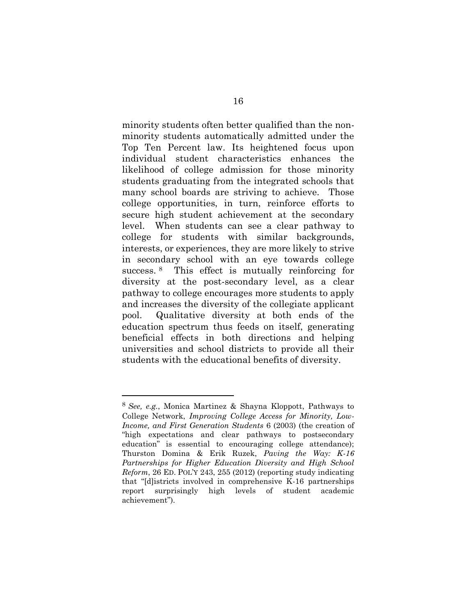minority students often better qualified than the nonminority students automatically admitted under the Top Ten Percent law. Its heightened focus upon individual student characteristics enhances the likelihood of college admission for those minority students graduating from the integrated schools that many school boards are striving to achieve. Those college opportunities, in turn, reinforce efforts to secure high student achievement at the secondary level. When students can see a clear pathway to college for students with similar backgrounds, interests, or experiences, they are more likely to strive in secondary school with an eye towards college success. <sup>8</sup> This effect is mutually reinforcing for diversity at the post-secondary level, as a clear pathway to college encourages more students to apply and increases the diversity of the collegiate applicant pool. Qualitative diversity at both ends of the education spectrum thus feeds on itself, generating beneficial effects in both directions and helping universities and school districts to provide all their students with the educational benefits of diversity.

<sup>8</sup> *See, e.g.*, Monica Martinez & Shayna Kloppott, Pathways to College Network, *Improving College Access for Minority, Low-Income, and First Generation Students* 6 (2003) (the creation of "high expectations and clear pathways to postsecondary education" is essential to encouraging college attendance); Thurston Domina & Erik Ruzek, *Paving the Way: K-16 Partnerships for Higher Education Diversity and High School Reform*, 26 ED. POL'Y 243, 255 (2012) (reporting study indicating that "[d]istricts involved in comprehensive K-16 partnerships report surprisingly high levels of student academic achievement").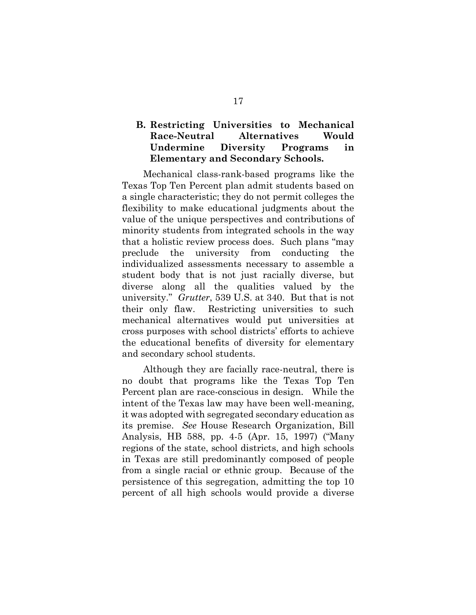#### <span id="page-24-0"></span>**B. Restricting Universities to Mechanical Race-Neutral Alternatives Would Undermine Diversity Programs in Elementary and Secondary Schools.**

Mechanical class-rank-based programs like the Texas Top Ten Percent plan admit students based on a single characteristic; they do not permit colleges the flexibility to make educational judgments about the value of the unique perspectives and contributions of minority students from integrated schools in the way that a holistic review process does. Such plans "may preclude the university from conducting the individualized assessments necessary to assemble a student body that is not just racially diverse, but diverse along all the qualities valued by the university." *Grutter*, 539 U.S. at 340. But that is not their only flaw. Restricting universities to such mechanical alternatives would put universities at cross purposes with school districts' efforts to achieve the educational benefits of diversity for elementary and secondary school students.

Although they are facially race-neutral, there is no doubt that programs like the Texas Top Ten Percent plan are race-conscious in design. While the intent of the Texas law may have been well-meaning, it was adopted with segregated secondary education as its premise. *See* House Research Organization, Bill Analysis, HB 588, pp. 4-5 (Apr. 15, 1997) ("Many regions of the state, school districts, and high schools in Texas are still predominantly composed of people from a single racial or ethnic group. Because of the persistence of this segregation, admitting the top 10 percent of all high schools would provide a diverse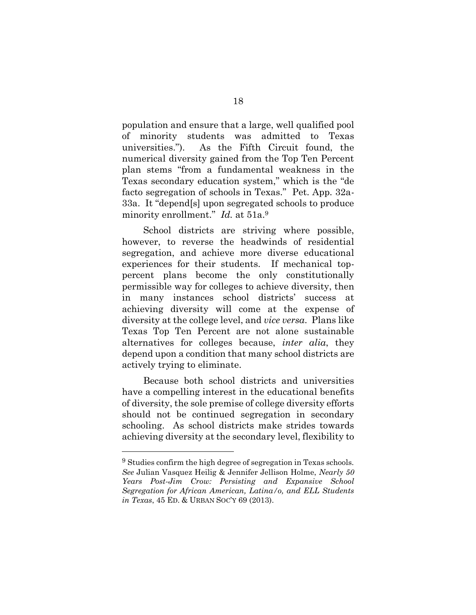population and ensure that a large, well qualified pool of minority students was admitted to Texas universities."). As the Fifth Circuit found, the numerical diversity gained from the Top Ten Percent plan stems "from a fundamental weakness in the Texas secondary education system," which is the "de facto segregation of schools in Texas." Pet. App. 32a-33a. It "depend[s] upon segregated schools to produce minority enrollment." *Id.* at 51a.<sup>9</sup>

School districts are striving where possible, however, to reverse the headwinds of residential segregation, and achieve more diverse educational experiences for their students. If mechanical toppercent plans become the only constitutionally permissible way for colleges to achieve diversity, then in many instances school districts' success at achieving diversity will come at the expense of diversity at the college level, and *vice versa*. Plans like Texas Top Ten Percent are not alone sustainable alternatives for colleges because, *inter alia*, they depend upon a condition that many school districts are actively trying to eliminate.

Because both school districts and universities have a compelling interest in the educational benefits of diversity, the sole premise of college diversity efforts should not be continued segregation in secondary schooling. As school districts make strides towards achieving diversity at the secondary level, flexibility to

<sup>&</sup>lt;sup>9</sup> Studies confirm the high degree of segregation in Texas schools. *See* Julian Vasquez Heilig & Jennifer Jellison Holme, *Nearly 50 Years Post-Jim Crow: Persisting and Expansive School Segregation for African American, Latina/o, and ELL Students in Texas*, 45 ED. & URBAN SOC'Y 69 (2013).